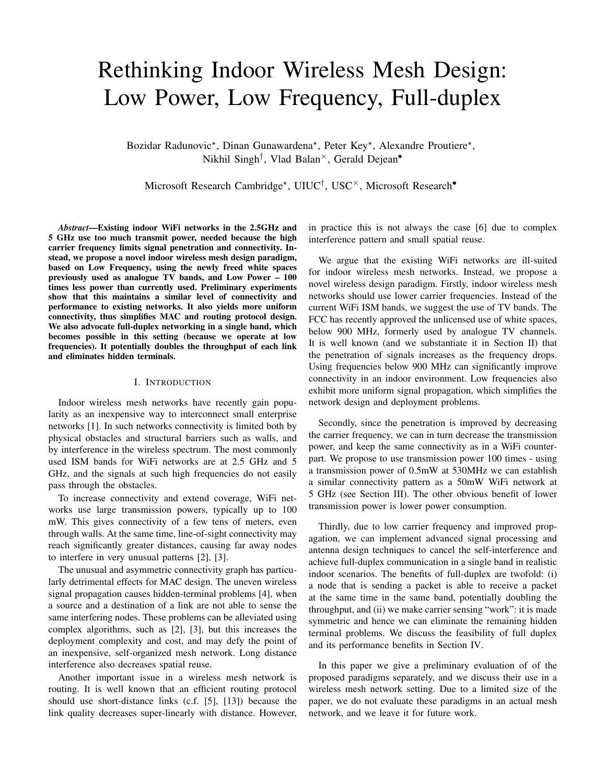# Rethinking Indoor Wireless Mesh Design: Low Power, Low Frequency, Full-duplex

Bozidar Radunovic<sup>\*</sup>, Dinan Gunawardena<sup>\*</sup>, Peter Key<sup>\*</sup>, Alexandre Proutiere<sup>\*</sup>, Nikhil Singh<sup>†</sup>, Vlad Balan<sup>×</sup>, Gerald Dejean<sup>•</sup>

Microsoft Research Cambridge\*, UIUC<sup>†</sup>, USC<sup>×</sup>, Microsoft Research<sup>•</sup>

*Abstract*—Existing indoor WiFi networks in the 2.5GHz and 5 GHz use too much transmit power, needed because the high carrier frequency limits signal penetration and connectivity. Instead, we propose a novel indoor wireless mesh design paradigm, based on Low Frequency, using the newly freed white spaces previously used as analogue TV bands, and Low Power – 100 times less power than currently used. Preliminary experiments show that this maintains a similar level of connectivity and performance to existing networks. It also yields more uniform connectivity, thus simplifies MAC and routing protocol design. We also advocate full-duplex networking in a single band, which becomes possible in this setting (because we operate at low frequencies). It potentially doubles the throughput of each link and eliminates hidden terminals.

# I. INTRODUCTION

Indoor wireless mesh networks have recently gain popularity as an inexpensive way to interconnect small enterprise networks [1]. In such networks connectivity is limited both by physical obstacles and structural barriers such as walls, and by interference in the wireless spectrum. The most commonly used ISM bands for WiFi networks are at 2.5 GHz and 5 GHz, and the signals at such high frequencies do not easily pass through the obstacles.

To increase connectivity and extend coverage, WiFi networks use large transmission powers, typically up to 100 mW. This gives connectivity of a few tens of meters, even through walls. At the same time, line-of-sight connectivity may reach significantly greater distances, causing far away nodes to interfere in very unusual patterns [2], [3].

The unusual and asymmetric connectivity graph has particularly detrimental effects for MAC design. The uneven wireless signal propagation causes hidden-terminal problems [4], when a source and a destination of a link are not able to sense the same interfering nodes. These problems can be alleviated using complex algorithms, such as [2], [3], but this increases the deployment complexity and cost, and may defy the point of an inexpensive, self-organized mesh network. Long distance interference also decreases spatial reuse.

Another important issue in a wireless mesh network is routing. It is well known that an efficient routing protocol should use short-distance links (c.f. [5], [13]) because the link quality decreases super-linearly with distance. However,

in practice this is not always the case [6] due to complex interference pattern and small spatial reuse.

We argue that the existing WiFi networks are ill-suited for indoor wireless mesh networks. Instead, we propose a novel wireless design paradigm. Firstly, indoor wireless mesh networks should use lower carrier frequencies. Instead of the current WiFi ISM bands, we suggest the use of TV bands. The FCC has recently approved the unlicensed use of white spaces, below 900 MHz, formerly used by analogue TV channels. It is well known (and we substantiate it in Section II) that the penetration of signals increases as the frequency drops. Using frequencies below 900 MHz can significantly improve connectivity in an indoor environment. Low frequencies also exhibit more uniform signal propagation, which simplifies the network design and deployment problems.

Secondly, since the penetration is improved by decreasing the carrier frequency, we can in turn decrease the transmission power, and keep the same connectivity as in a WiFi counterpart. We propose to use transmission power 100 times - using a transmission power of 0.5mW at 530MHz we can establish a similar connectivity pattern as a 50mW WiFi network at 5 GHz (see Section III). The other obvious benefit of lower transmission power is lower power consumption.

Thirdly, due to low carrier frequency and improved propagation, we can implement advanced signal processing and antenna design techniques to cancel the self-interference and achieve full-duplex communication in a single band in realistic indoor scenarios. The benefits of full-duplex are twofold: (i) a node that is sending a packet is able to receive a packet at the same time in the same band, potentially doubling the throughput, and (ii) we make carrier sensing "work": it is made symmetric and hence we can eliminate the remaining hidden terminal problems. We discuss the feasibility of full duplex and its performance benefits in Section IV.

In this paper we give a preliminary evaluation of of the proposed paradigms separately, and we discuss their use in a wireless mesh network setting. Due to a limited size of the paper, we do not evaluate these paradigms in an actual mesh network, and we leave it for future work.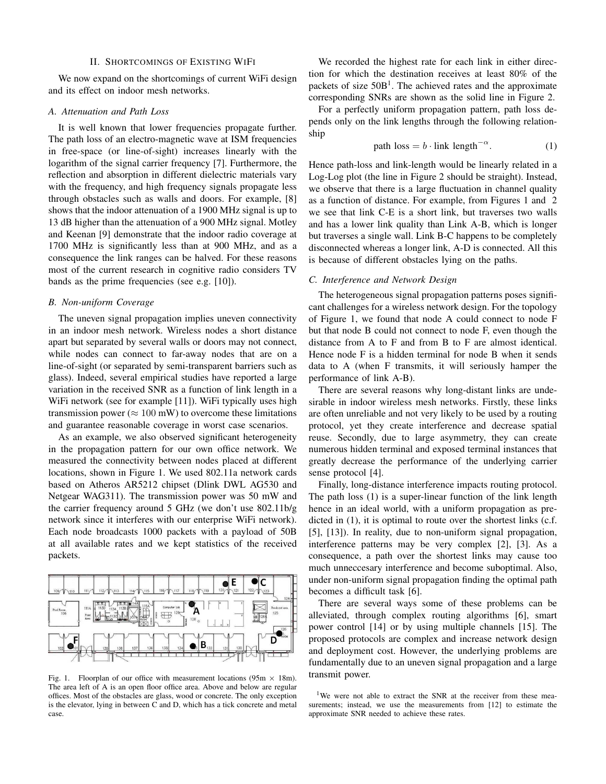#### II. SHORTCOMINGS OF EXISTING WIFI

We now expand on the shortcomings of current WiFi design and its effect on indoor mesh networks.

## *A. Attenuation and Path Loss*

It is well known that lower frequencies propagate further. The path loss of an electro-magnetic wave at ISM frequencies in free-space (or line-of-sight) increases linearly with the logarithm of the signal carrier frequency [7]. Furthermore, the reflection and absorption in different dielectric materials vary with the frequency, and high frequency signals propagate less through obstacles such as walls and doors. For example, [8] shows that the indoor attenuation of a 1900 MHz signal is up to 13 dB higher than the attenuation of a 900 MHz signal. Motley and Keenan [9] demonstrate that the indoor radio coverage at 1700 MHz is significantly less than at 900 MHz, and as a consequence the link ranges can be halved. For these reasons most of the current research in cognitive radio considers TV bands as the prime frequencies (see e.g. [10]).

### *B. Non-uniform Coverage*

The uneven signal propagation implies uneven connectivity in an indoor mesh network. Wireless nodes a short distance apart but separated by several walls or doors may not connect, while nodes can connect to far-away nodes that are on a line-of-sight (or separated by semi-transparent barriers such as glass). Indeed, several empirical studies have reported a large variation in the received SNR as a function of link length in a WiFi network (see for example [11]). WiFi typically uses high transmission power ( $\approx 100$  mW) to overcome these limitations and guarantee reasonable coverage in worst case scenarios.

As an example, we also observed significant heterogeneity in the propagation pattern for our own office network. We measured the connectivity between nodes placed at different locations, shown in Figure 1. We used 802.11a network cards based on Atheros AR5212 chipset (Dlink DWL AG530 and Netgear WAG311). The transmission power was 50 mW and the carrier frequency around 5 GHz (we don't use 802.11b/g network since it interferes with our enterprise WiFi network). Each node broadcasts 1000 packets with a payload of 50B at all available rates and we kept statistics of the received packets.



Fig. 1. Floorplan of our office with measurement locations ( $95m \times 18m$ ). The area left of A is an open floor office area. Above and below are regular offices. Most of the obstacles are glass, wood or concrete. The only exception is the elevator, lying in between C and D, which has a tick concrete and metal case.

We recorded the highest rate for each link in either direction for which the destination receives at least 80% of the packets of size  $50B<sup>1</sup>$ . The achieved rates and the approximate corresponding SNRs are shown as the solid line in Figure 2.

For a perfectly uniform propagation pattern, path loss depends only on the link lengths through the following relationship

path loss = 
$$
b \cdot \text{link length}^{-\alpha}
$$
. (1)

Hence path-loss and link-length would be linearly related in a Log-Log plot (the line in Figure 2 should be straight). Instead, we observe that there is a large fluctuation in channel quality as a function of distance. For example, from Figures 1 and 2 we see that link C-E is a short link, but traverses two walls and has a lower link quality than Link A-B, which is longer but traverses a single wall. Link B-C happens to be completely disconnected whereas a longer link, A-D is connected. All this is because of different obstacles lying on the paths.

## *C. Interference and Network Design*

The heterogeneous signal propagation patterns poses significant challenges for a wireless network design. For the topology of Figure 1, we found that node A could connect to node F but that node B could not connect to node F, even though the distance from A to F and from B to F are almost identical. Hence node F is a hidden terminal for node B when it sends data to A (when F transmits, it will seriously hamper the performance of link A-B).

There are several reasons why long-distant links are undesirable in indoor wireless mesh networks. Firstly, these links are often unreliable and not very likely to be used by a routing protocol, yet they create interference and decrease spatial reuse. Secondly, due to large asymmetry, they can create numerous hidden terminal and exposed terminal instances that greatly decrease the performance of the underlying carrier sense protocol [4].

Finally, long-distance interference impacts routing protocol. The path loss (1) is a super-linear function of the link length hence in an ideal world, with a uniform propagation as predicted in  $(1)$ , it is optimal to route over the shortest links  $(c.f.)$ [5], [13]). In reality, due to non-uniform signal propagation, interference patterns may be very complex [2], [3]. As a consequence, a path over the shortest links may cause too much unneccesary interference and become suboptimal. Also, under non-uniform signal propagation finding the optimal path becomes a difficult task [6].

There are several ways some of these problems can be alleviated, through complex routing algorithms [6], smart power control [14] or by using multiple channels [15]. The proposed protocols are complex and increase network design and deployment cost. However, the underlying problems are fundamentally due to an uneven signal propagation and a large transmit power.

<sup>&</sup>lt;sup>1</sup>We were not able to extract the SNR at the receiver from these measurements; instead, we use the measurements from [12] to estimate the approximate SNR needed to achieve these rates.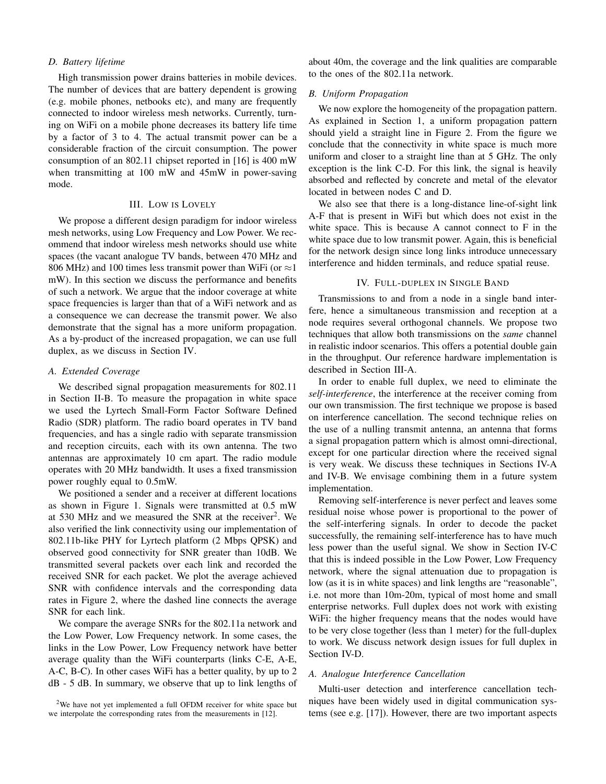## *D. Battery lifetime*

High transmission power drains batteries in mobile devices. The number of devices that are battery dependent is growing (e.g. mobile phones, netbooks etc), and many are frequently connected to indoor wireless mesh networks. Currently, turning on WiFi on a mobile phone decreases its battery life time by a factor of 3 to 4. The actual transmit power can be a considerable fraction of the circuit consumption. The power consumption of an 802.11 chipset reported in [16] is 400 mW when transmitting at 100 mW and 45mW in power-saving mode.

## III. LOW IS LOVELY

We propose a different design paradigm for indoor wireless mesh networks, using Low Frequency and Low Power. We recommend that indoor wireless mesh networks should use white spaces (the vacant analogue TV bands, between 470 MHz and 806 MHz) and 100 times less transmit power than WiFi (or  $\approx$ 1 mW). In this section we discuss the performance and benefits of such a network. We argue that the indoor coverage at white space frequencies is larger than that of a WiFi network and as a consequence we can decrease the transmit power. We also demonstrate that the signal has a more uniform propagation. As a by-product of the increased propagation, we can use full duplex, as we discuss in Section IV.

# *A. Extended Coverage*

We described signal propagation measurements for 802.11 in Section II-B. To measure the propagation in white space we used the Lyrtech Small-Form Factor Software Defined Radio (SDR) platform. The radio board operates in TV band frequencies, and has a single radio with separate transmission and reception circuits, each with its own antenna. The two antennas are approximately 10 cm apart. The radio module operates with 20 MHz bandwidth. It uses a fixed transmission power roughly equal to 0.5mW.

We positioned a sender and a receiver at different locations as shown in Figure 1. Signals were transmitted at 0.5 mW at 530 MHz and we measured the SNR at the receiver<sup>2</sup>. We also verified the link connectivity using our implementation of 802.11b-like PHY for Lyrtech platform (2 Mbps QPSK) and observed good connectivity for SNR greater than 10dB. We transmitted several packets over each link and recorded the received SNR for each packet. We plot the average achieved SNR with confidence intervals and the corresponding data rates in Figure 2, where the dashed line connects the average SNR for each link.

We compare the average SNRs for the 802.11a network and the Low Power, Low Frequency network. In some cases, the links in the Low Power, Low Frequency network have better average quality than the WiFi counterparts (links C-E, A-E, A-C, B-C). In other cases WiFi has a better quality, by up to 2 dB - 5 dB. In summary, we observe that up to link lengths of

about 40m, the coverage and the link qualities are comparable to the ones of the 802.11a network.

## *B. Uniform Propagation*

We now explore the homogeneity of the propagation pattern. As explained in Section 1, a uniform propagation pattern should yield a straight line in Figure 2. From the figure we conclude that the connectivity in white space is much more uniform and closer to a straight line than at 5 GHz. The only exception is the link C-D. For this link, the signal is heavily absorbed and reflected by concrete and metal of the elevator located in between nodes C and D.

We also see that there is a long-distance line-of-sight link A-F that is present in WiFi but which does not exist in the white space. This is because A cannot connect to F in the white space due to low transmit power. Again, this is beneficial for the network design since long links introduce unnecessary interference and hidden terminals, and reduce spatial reuse.

# IV. FULL-DUPLEX IN SINGLE BAND

Transmissions to and from a node in a single band interfere, hence a simultaneous transmission and reception at a node requires several orthogonal channels. We propose two techniques that allow both transmissions on the *same* channel in realistic indoor scenarios. This offers a potential double gain in the throughput. Our reference hardware implementation is described in Section III-A.

In order to enable full duplex, we need to eliminate the *self-interference*, the interference at the receiver coming from our own transmission. The first technique we propose is based on interference cancellation. The second technique relies on the use of a nulling transmit antenna, an antenna that forms a signal propagation pattern which is almost omni-directional, except for one particular direction where the received signal is very weak. We discuss these techniques in Sections IV-A and IV-B. We envisage combining them in a future system implementation.

Removing self-interference is never perfect and leaves some residual noise whose power is proportional to the power of the self-interfering signals. In order to decode the packet successfully, the remaining self-interference has to have much less power than the useful signal. We show in Section IV-C that this is indeed possible in the Low Power, Low Frequency network, where the signal attenuation due to propagation is low (as it is in white spaces) and link lengths are "reasonable", i.e. not more than 10m-20m, typical of most home and small enterprise networks. Full duplex does not work with existing WiFi: the higher frequency means that the nodes would have to be very close together (less than 1 meter) for the full-duplex to work. We discuss network design issues for full duplex in Section IV-D.

# *A. Analogue Interference Cancellation*

Multi-user detection and interference cancellation techniques have been widely used in digital communication systems (see e.g. [17]). However, there are two important aspects

<sup>2</sup>We have not yet implemented a full OFDM receiver for white space but we interpolate the corresponding rates from the measurements in [12].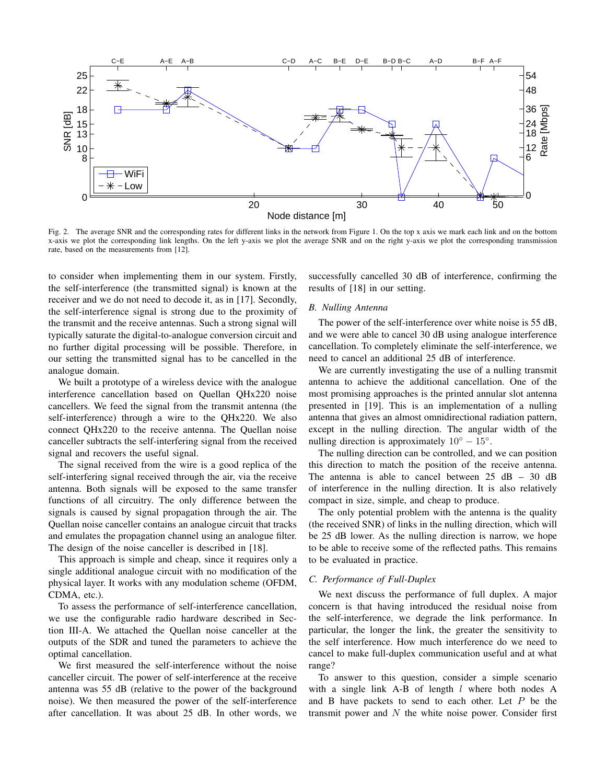

Fig. 2. The average SNR and the corresponding rates for different links in the network from Figure 1. On the top x axis we mark each link and on the bottom x-axis we plot the corresponding link lengths. On the left y-axis we plot the average SNR and on the right y-axis we plot the corresponding transmission rate, based on the measurements from [12].

to consider when implementing them in our system. Firstly, the self-interference (the transmitted signal) is known at the receiver and we do not need to decode it, as in [17]. Secondly, the self-interference signal is strong due to the proximity of the transmit and the receive antennas. Such a strong signal will typically saturate the digital-to-analogue conversion circuit and no further digital processing will be possible. Therefore, in our setting the transmitted signal has to be cancelled in the analogue domain.

We built a prototype of a wireless device with the analogue interference cancellation based on Quellan QHx220 noise cancellers. We feed the signal from the transmit antenna (the self-interference) through a wire to the QHx220. We also connect QHx220 to the receive antenna. The Quellan noise canceller subtracts the self-interfering signal from the received signal and recovers the useful signal.

The signal received from the wire is a good replica of the self-interfering signal received through the air, via the receive antenna. Both signals will be exposed to the same transfer functions of all circuitry. The only difference between the signals is caused by signal propagation through the air. The Quellan noise canceller contains an analogue circuit that tracks and emulates the propagation channel using an analogue filter. The design of the noise canceller is described in [18].

This approach is simple and cheap, since it requires only a single additional analogue circuit with no modification of the physical layer. It works with any modulation scheme (OFDM, CDMA, etc.).

To assess the performance of self-interference cancellation, we use the configurable radio hardware described in Section III-A. We attached the Quellan noise canceller at the outputs of the SDR and tuned the parameters to achieve the optimal cancellation.

We first measured the self-interference without the noise canceller circuit. The power of self-interference at the receive antenna was 55 dB (relative to the power of the background noise). We then measured the power of the self-interference after cancellation. It was about 25 dB. In other words, we

successfully cancelled 30 dB of interference, confirming the results of [18] in our setting.

## *B. Nulling Antenna*

The power of the self-interference over white noise is 55 dB, and we were able to cancel 30 dB using analogue interference cancellation. To completely eliminate the self-interference, we need to cancel an additional 25 dB of interference.

We are currently investigating the use of a nulling transmit antenna to achieve the additional cancellation. One of the most promising approaches is the printed annular slot antenna presented in [19]. This is an implementation of a nulling antenna that gives an almost omnidirectional radiation pattern, except in the nulling direction. The angular width of the nulling direction is approximately  $10^{\circ} - 15^{\circ}$ .

The nulling direction can be controlled, and we can position this direction to match the position of the receive antenna. The antenna is able to cancel between  $25$  dB – 30 dB of interference in the nulling direction. It is also relatively compact in size, simple, and cheap to produce.

The only potential problem with the antenna is the quality (the received SNR) of links in the nulling direction, which will be 25 dB lower. As the nulling direction is narrow, we hope to be able to receive some of the reflected paths. This remains to be evaluated in practice.

# *C. Performance of Full-Duplex*

We next discuss the performance of full duplex. A major concern is that having introduced the residual noise from the self-interference, we degrade the link performance. In particular, the longer the link, the greater the sensitivity to the self interference. How much interference do we need to cancel to make full-duplex communication useful and at what range?

To answer to this question, consider a simple scenario with a single link  $A-B$  of length  $l$  where both nodes  $A$ and B have packets to send to each other. Let  $P$  be the transmit power and  $N$  the white noise power. Consider first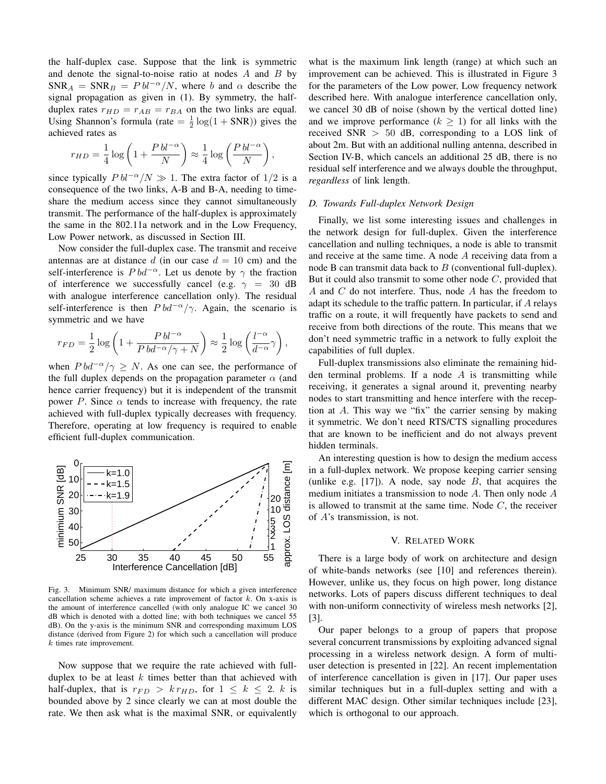the half-duplex case. Suppose that the link is symmetric and denote the signal-to-noise ratio at nodes  $A$  and  $B$  by  $SNR_A = SNR_B = P bl^{-\alpha}/N$ , where b and  $\alpha$  describe the signal propagation as given in (1). By symmetry, the halfduplex rates  $r_{HD} = r_{AB} = r_{BA}$  on the two links are equal. Using Shannon's formula (rate  $=$   $\frac{1}{2}$  log(1 + SNR)) gives the achieved rates as

$$
r_{HD} = \frac{1}{4} \log \left( 1 + \frac{P b l^{-\alpha}}{N} \right) \approx \frac{1}{4} \log \left( \frac{P b l^{-\alpha}}{N} \right),\,
$$

since typically  $P bl^{-\alpha}/N \gg 1$ . The extra factor of 1/2 is a consequence of the two links, A-B and B-A, needing to timeshare the medium access since they cannot simultaneously transmit. The performance of the half-duplex is approximately the same in the 802.11a network and in the Low Frequency, Low Power network, as discussed in Section III.

Now consider the full-duplex case. The transmit and receive antennas are at distance d (in our case  $d = 10$  cm) and the self-interference is  $P bd^{-\alpha}$ . Let us denote by  $\gamma$  the fraction of interference we successfully cancel (e.g.  $\gamma = 30$  dB with analogue interference cancellation only). The residual self-interference is then  $P bd^{-\alpha}/\gamma$ . Again, the scenario is symmetric and we have

$$
r_{FD} = \frac{1}{2} \log \left( 1 + \frac{P b l^{-\alpha}}{P b d^{-\alpha} / \gamma + N} \right) \approx \frac{1}{2} \log \left( \frac{l^{-\alpha}}{d^{-\alpha}} \gamma \right),\,
$$

when  $P bd^{-\alpha}/\gamma \geq N$ . As one can see, the performance of the full duplex depends on the propagation parameter  $\alpha$  (and hence carrier frequency) but it is independent of the transmit power P. Since  $\alpha$  tends to increase with frequency, the rate achieved with full-duplex typically decreases with frequency. Therefore, operating at low frequency is required to enable efficient full-duplex communication.



Fig. 3. Minimum SNR/ maximum distance for which a given interference cancellation scheme achieves a rate improvement of factor k. On x-axis is the amount of interference cancelled (with only analogue IC we cancel 30 dB which is denoted with a dotted line; with both techniques we cancel 55 dB). On the y-axis is the minimum SNR and corresponding maximum LOS distance (derived from Figure 2) for which such a cancellation will produce k times rate improvement.

Now suppose that we require the rate achieved with fullduplex to be at least  $k$  times better than that achieved with half-duplex, that is  $r_{FD} > k r_{HD}$ , for  $1 \leq k \leq 2$ . k is bounded above by 2 since clearly we can at most double the rate. We then ask what is the maximal SNR, or equivalently

what is the maximum link length (range) at which such an improvement can be achieved. This is illustrated in Figure 3 for the parameters of the Low power, Low frequency network described here. With analogue interference cancellation only, we cancel 30 dB of noise (shown by the vertical dotted line) and we improve performance  $(k \geq 1)$  for all links with the received SNR  $> 50$  dB, corresponding to a LOS link of about 2m. But with an additional nulling antenna, described in Section IV-B, which cancels an additional 25 dB, there is no residual self interference and we always double the throughput, *regardless* of link length.

#### *D. Towards Full-duplex Network Design*

Finally, we list some interesting issues and challenges in the network design for full-duplex. Given the interference cancellation and nulling techniques, a node is able to transmit and receive at the same time. A node A receiving data from a node B can transmit data back to  $B$  (conventional full-duplex). But it could also transmit to some other node  $C$ , provided that A and C do not interfere. Thus, node A has the freedom to adapt its schedule to the traffic pattern. In particular, if A relays traffic on a route, it will frequently have packets to send and receive from both directions of the route. This means that we don't need symmetric traffic in a network to fully exploit the capabilities of full duplex.

Full-duplex transmissions also eliminate the remaining hidden terminal problems. If a node  $A$  is transmitting while receiving, it generates a signal around it, preventing nearby nodes to start transmitting and hence interfere with the reception at A. This way we "fix" the carrier sensing by making it symmetric. We don't need RTS/CTS signalling procedures that are known to be inefficient and do not always prevent hidden terminals.

An interesting question is how to design the medium access in a full-duplex network. We propose keeping carrier sensing (unlike e.g.  $[17]$ ). A node, say node B, that acquires the medium initiates a transmission to node A. Then only node A is allowed to transmit at the same time. Node  $C$ , the receiver of A's transmission, is not.

## V. RELATED WORK

There is a large body of work on architecture and design of white-bands networks (see [10] and references therein). However, unlike us, they focus on high power, long distance networks. Lots of papers discuss different techniques to deal with non-uniform connectivity of wireless mesh networks [2], [3].

Our paper belongs to a group of papers that propose several concurrent transmissions by exploiting advanced signal processing in a wireless network design. A form of multiuser detection is presented in [22]. An recent implementation of interference cancellation is given in [17]. Our paper uses similar techniques but in a full-duplex setting and with a different MAC design. Other similar techniques include [23], which is orthogonal to our approach.